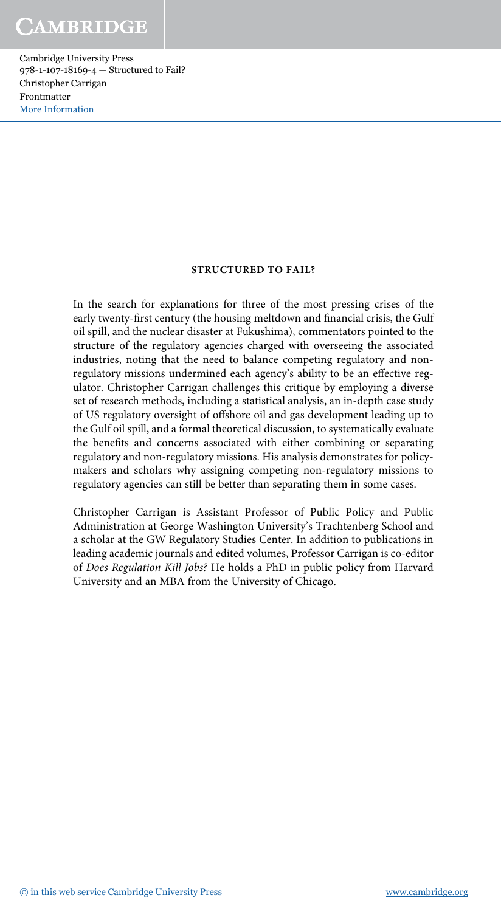#### STRUCTURED TO FAIL?

In the search for explanations for three of the most pressing crises of the early twenty-first century (the housing meltdown and financial crisis, the Gulf oil spill, and the nuclear disaster at Fukushima), commentators pointed to the structure of the regulatory agencies charged with overseeing the associated industries, noting that the need to balance competing regulatory and nonregulatory missions undermined each agency's ability to be an effective regulator. Christopher Carrigan challenges this critique by employing a diverse set of research methods, including a statistical analysis, an in-depth case study of US regulatory oversight of offshore oil and gas development leading up to the Gulf oil spill, and a formal theoretical discussion, to systematically evaluate the benefits and concerns associated with either combining or separating regulatory and non-regulatory missions. His analysis demonstrates for policymakers and scholars why assigning competing non-regulatory missions to regulatory agencies can still be better than separating them in some cases.

Christopher Carrigan is Assistant Professor of Public Policy and Public Administration at George Washington University's Trachtenberg School and a scholar at the GW Regulatory Studies Center. In addition to publications in leading academic journals and edited volumes, Professor Carrigan is co-editor of *Does Regulation Kill Jobs?* He holds a PhD in public policy from Harvard University and an MBA from the University of Chicago.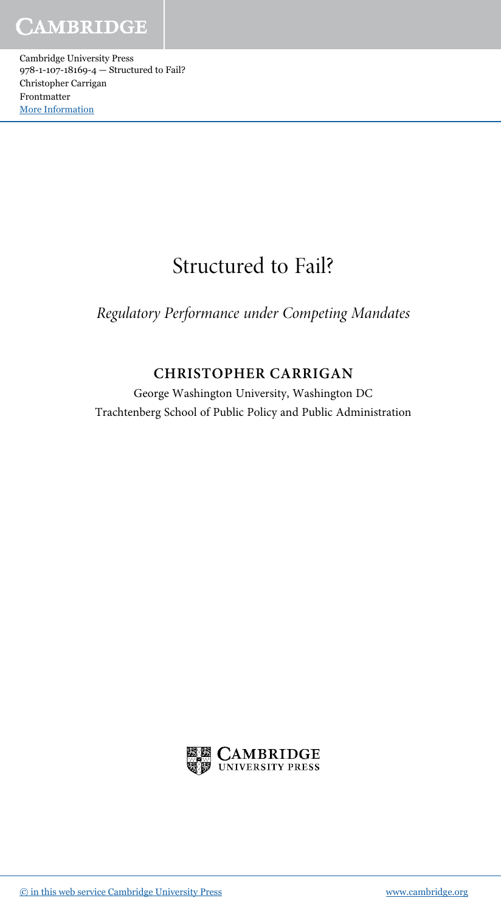# Structured to Fail?

Regulatory Performance under Competing Mandates

### CHRISTOPHER CARRIGAN

George Washington University, Washington DC Trachtenberg School of Public Policy and Public Administration

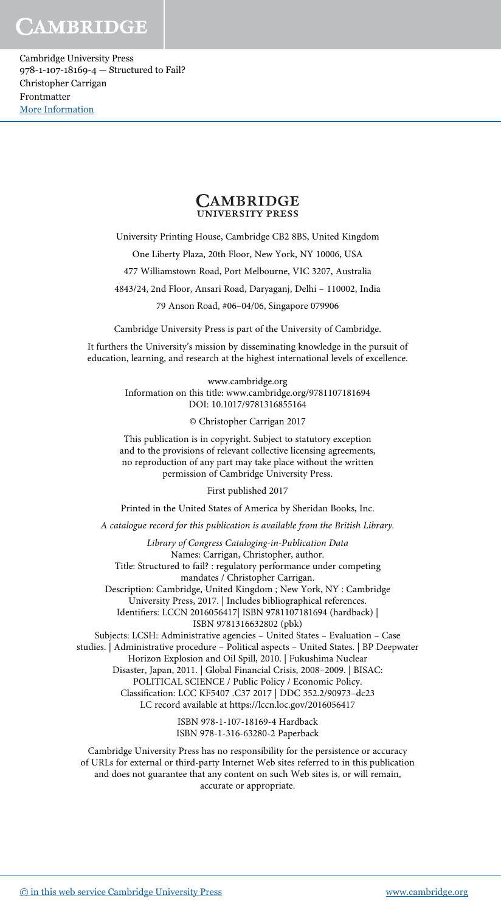Cambridge University Press 978-1-107-18169-4 — Structured to Fail? Christopher Carrigan Frontmatter [More Information](www.cambridge.org/9781107181694)



University Printing House, Cambridge CB2 8BS, United Kingdom

One Liberty Plaza, 20th Floor, New York, NY 10006, USA

477 Williamstown Road, Port Melbourne, VIC 3207, Australia

4843/24, 2nd Floor, Ansari Road, Daryaganj, Delhi – 110002, India

79 Anson Road, #06–04/06, Singapore 079906

Cambridge University Press is part of the University of Cambridge.

It furthers the University's mission by disseminating knowledge in the pursuit of education, learning, and research at the highest international levels of excellence.

> www.cambridge.org Information on this title: www.cambridge.org/9781107181694 DOI: 10.1017/9781316855164

> > © Christopher Carrigan 2017

This publication is in copyright. Subject to statutory exception and to the provisions of relevant collective licensing agreements, no reproduction of any part may take place without the written permission of Cambridge University Press.

First published 2017

Printed in the United States of America by Sheridan Books, Inc.

A catalogue record for this publication is available from the British Library.

*Library of Congress Cataloging-in-Publication Data* Names: Carrigan, Christopher, author. Title: Structured to fail? : regulatory performance under competing mandates / Christopher Carrigan. Description: Cambridge, United Kingdom ; New York, NY : Cambridge University Press, 2017. | Includes bibliographical references. Identifiers: LCCN 2016056417| ISBN 9781107181694 (hardback) | ISBN 9781316632802 (pbk) Subjects: LCSH: Administrative agencies – United States – Evaluation – Case studies. | Administrative procedure – Political aspects – United States. | BP Deepwater Horizon Explosion and Oil Spill, 2010. | Fukushima Nuclear Disaster, Japan, 2011. | Global Financial Crisis, 2008–2009. | BISAC: POLITICAL SCIENCE / Public Policy / Economic Policy. Classification: LCC KF5407 .C37 2017 | DDC 352.2/90973–dc23 LC record available at https://lccn.loc.gov/2016056417

> ISBN 978-1-107-18169-4 Hardback ISBN 978-1-316-63280-2 Paperback

Cambridge University Press has no responsibility for the persistence or accuracy of URLs for external or third-party Internet Web sites referred to in this publication and does not guarantee that any content on such Web sites is, or will remain, accurate or appropriate.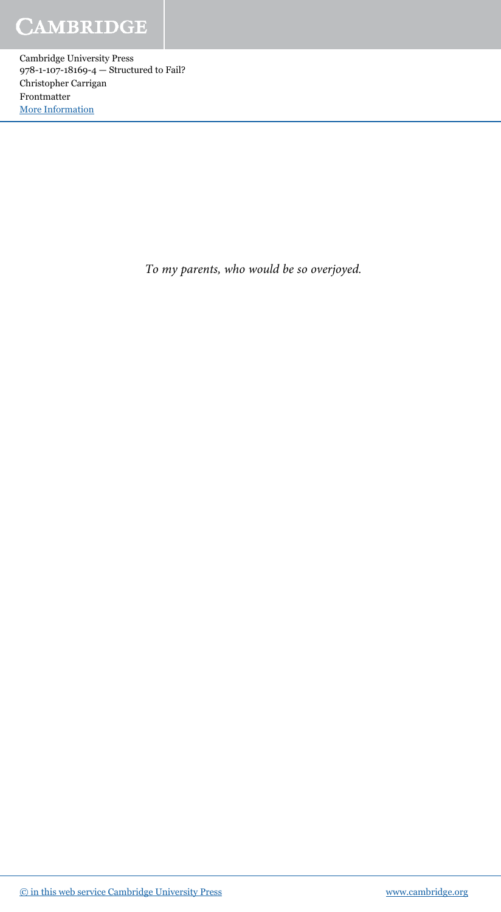*To my parents, who would be so overjoyed.*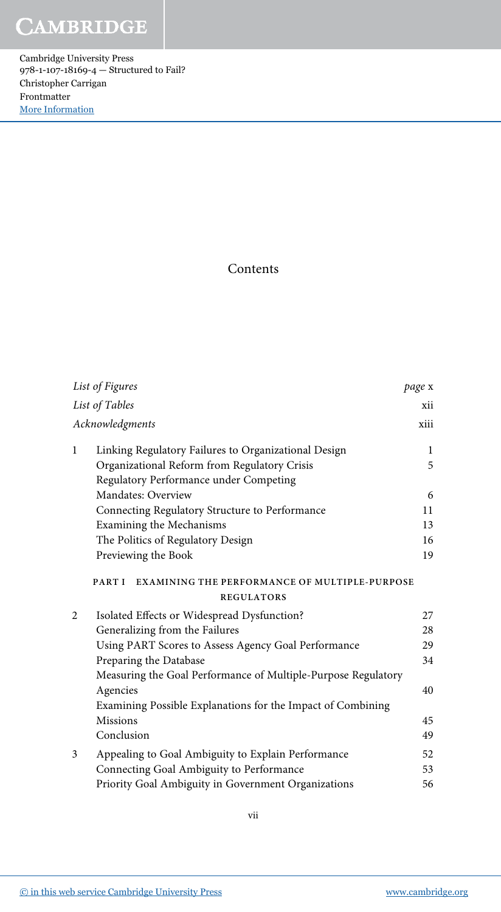#### Contents

|              | List of Figures                                                | page x       |
|--------------|----------------------------------------------------------------|--------------|
|              | List of Tables                                                 | xii          |
|              | Acknowledgments                                                | xiii         |
| $\mathbf{1}$ | Linking Regulatory Failures to Organizational Design           | $\mathbf{1}$ |
|              | Organizational Reform from Regulatory Crisis                   | 5            |
|              | Regulatory Performance under Competing                         |              |
|              | Mandates: Overview                                             | 6            |
|              | Connecting Regulatory Structure to Performance                 | 11           |
|              | Examining the Mechanisms                                       | 13           |
|              | The Politics of Regulatory Design                              | 16           |
|              | Previewing the Book                                            | 19           |
|              | PART I<br><b>EXAMINING THE PERFORMANCE OF MULTIPLE-PURPOSE</b> |              |
|              | <b>REGULATORS</b>                                              |              |
| 2            | Isolated Effects or Widespread Dysfunction?                    | 27           |
|              | Generalizing from the Failures                                 | 28           |
|              | Using PART Scores to Assess Agency Goal Performance            | 29           |
|              | Preparing the Database                                         | 34           |
|              | Measuring the Goal Performance of Multiple-Purpose Regulatory  |              |
|              | Agencies                                                       | 40           |
|              | Examining Possible Explanations for the Impact of Combining    |              |
|              | <b>Missions</b>                                                | 45           |
|              | Conclusion                                                     | 49           |
| 3            | Appealing to Goal Ambiguity to Explain Performance             | 52           |
|              | Connecting Goal Ambiguity to Performance                       | 53           |
|              | Priority Goal Ambiguity in Government Organizations            | 56           |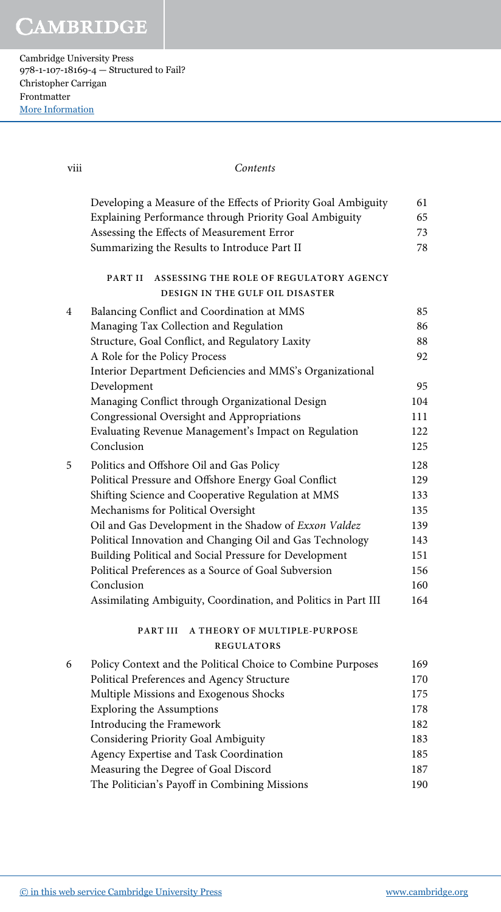Cambridge University Press 978-1-107-18169-4 — Structured to Fail? Christopher Carrigan Frontmatter [More Information](www.cambridge.org/9781107181694)

| viii | Contents                                                                                                                 |           |
|------|--------------------------------------------------------------------------------------------------------------------------|-----------|
|      | Developing a Measure of the Effects of Priority Goal Ambiguity<br>Explaining Performance through Priority Goal Ambiguity | 61<br>65  |
|      | Assessing the Effects of Measurement Error                                                                               | 73        |
|      | Summarizing the Results to Introduce Part II                                                                             | 78        |
|      | PART II<br>ASSESSING THE ROLE OF REGULATORY AGENCY<br><b>DESIGN IN THE GULF OIL DISASTER</b>                             |           |
| 4    | Balancing Conflict and Coordination at MMS                                                                               | 85        |
|      | Managing Tax Collection and Regulation                                                                                   | 86        |
|      | Structure, Goal Conflict, and Regulatory Laxity                                                                          | 88        |
|      | A Role for the Policy Process                                                                                            | 92        |
|      | Interior Department Deficiencies and MMS's Organizational                                                                |           |
|      | Development<br>Managing Conflict through Organizational Design                                                           | 95<br>104 |
|      | Congressional Oversight and Appropriations                                                                               | 111       |
|      | Evaluating Revenue Management's Impact on Regulation                                                                     | 122       |
|      | Conclusion                                                                                                               | 125       |
| 5    | Politics and Offshore Oil and Gas Policy                                                                                 | 128       |
|      | Political Pressure and Offshore Energy Goal Conflict                                                                     | 129       |
|      | Shifting Science and Cooperative Regulation at MMS                                                                       | 133       |
|      | Mechanisms for Political Oversight                                                                                       | 135       |
|      | Oil and Gas Development in the Shadow of Exxon Valdez                                                                    | 139       |
|      | Political Innovation and Changing Oil and Gas Technology                                                                 | 143       |
|      | Building Political and Social Pressure for Development                                                                   | 151       |
|      | Political Preferences as a Source of Goal Subversion                                                                     | 156       |
|      | Conclusion                                                                                                               | 160       |
|      | Assimilating Ambiguity, Coordination, and Politics in Part III                                                           | 164       |
|      | PART III A THEORY OF MULTIPLE-PURPOSE<br><b>REGULATORS</b>                                                               |           |
| 6    | Policy Context and the Political Choice to Combine Purposes                                                              | 169       |
|      | Political Preferences and Agency Structure                                                                               | 170       |
|      | Multiple Missions and Exogenous Shocks                                                                                   | 175       |
|      | <b>Exploring the Assumptions</b>                                                                                         | 178       |
|      | Introducing the Framework                                                                                                | 182       |
|      | Considering Priority Goal Ambiguity                                                                                      | 183       |
|      | Agency Expertise and Task Coordination                                                                                   | 185       |
|      | Measuring the Degree of Goal Discord                                                                                     | 187       |
|      | The Politician's Payoff in Combining Missions                                                                            | 190       |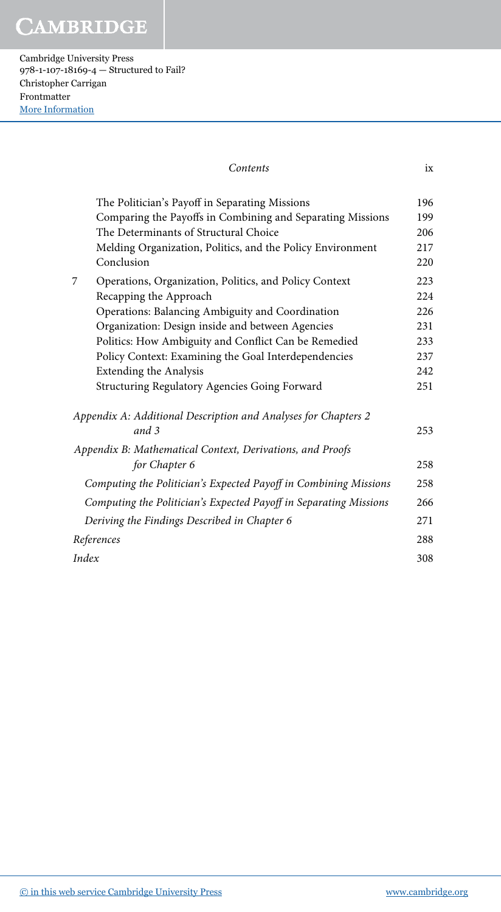Cambridge University Press 978-1-107-18169-4 — Structured to Fail? Christopher Carrigan Frontmatter [More Information](www.cambridge.org/9781107181694)

| Contents                                                                                                     | ix         |
|--------------------------------------------------------------------------------------------------------------|------------|
| The Politician's Payoff in Separating Missions<br>Comparing the Payoffs in Combining and Separating Missions | 196<br>199 |
| The Determinants of Structural Choice                                                                        | 206        |
| Melding Organization, Politics, and the Policy Environment                                                   | 217        |
| Conclusion                                                                                                   | 220        |
| 7<br>Operations, Organization, Politics, and Policy Context                                                  | 223        |
| Recapping the Approach                                                                                       | 224        |
| Operations: Balancing Ambiguity and Coordination                                                             | 226        |
| Organization: Design inside and between Agencies                                                             | 231        |
| Politics: How Ambiguity and Conflict Can be Remedied                                                         | 233        |
| Policy Context: Examining the Goal Interdependencies                                                         | 237        |
| <b>Extending the Analysis</b>                                                                                | 242        |
| Structuring Regulatory Agencies Going Forward                                                                | 251        |
| Appendix A: Additional Description and Analyses for Chapters 2                                               |            |
| and 3                                                                                                        | 253        |
| Appendix B: Mathematical Context, Derivations, and Proofs                                                    |            |
| for Chapter 6                                                                                                | 258        |
| Computing the Politician's Expected Payoff in Combining Missions                                             | 258        |
| Computing the Politician's Expected Payoff in Separating Missions                                            | 266        |
| Deriving the Findings Described in Chapter 6                                                                 | 271        |
| References                                                                                                   | 288        |
| Index                                                                                                        | 308        |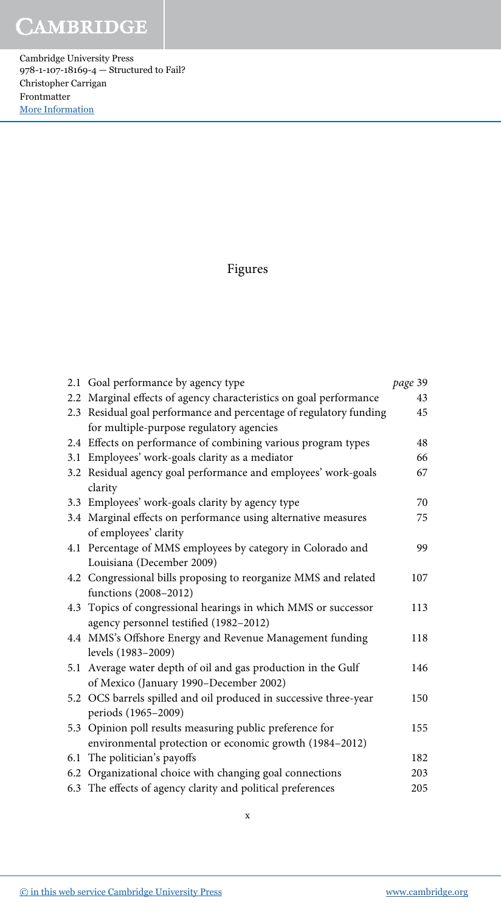Cambridge University Press 978-1-107-18169-4 — Structured to Fail? Christopher Carrigan Frontmatter [More Information](www.cambridge.org/9781107181694)

### Figures

|     | 2.1 Goal performance by agency type                                | page 39 |
|-----|--------------------------------------------------------------------|---------|
|     | 2.2 Marginal effects of agency characteristics on goal performance | 43      |
|     | 2.3 Residual goal performance and percentage of regulatory funding | 45      |
|     | for multiple-purpose regulatory agencies                           |         |
|     | 2.4 Effects on performance of combining various program types      | 48      |
| 3.1 | Employees' work-goals clarity as a mediator                        | 66      |
|     | 3.2 Residual agency goal performance and employees' work-goals     | 67      |
|     | clarity                                                            |         |
|     | 3.3 Employees' work-goals clarity by agency type                   | 70      |
|     | 3.4 Marginal effects on performance using alternative measures     | 75      |
|     | of employees' clarity                                              |         |
|     | 4.1 Percentage of MMS employees by category in Colorado and        | 99      |
|     | Louisiana (December 2009)                                          |         |
|     | 4.2 Congressional bills proposing to reorganize MMS and related    | 107     |
|     | functions (2008-2012)                                              |         |
|     | 4.3 Topics of congressional hearings in which MMS or successor     | 113     |
|     | agency personnel testified (1982-2012)                             |         |
|     | 4.4 MMS's Offshore Energy and Revenue Management funding           | 118     |
|     | levels (1983-2009)                                                 |         |
|     | 5.1 Average water depth of oil and gas production in the Gulf      | 146     |
|     | of Mexico (January 1990-December 2002)                             |         |
|     | 5.2 OCS barrels spilled and oil produced in successive three-year  | 150     |
|     | periods (1965-2009)                                                |         |
|     | 5.3 Opinion poll results measuring public preference for           | 155     |
|     | environmental protection or economic growth (1984-2012)            |         |
|     | 6.1 The politician's payoffs                                       | 182     |
|     | 6.2 Organizational choice with changing goal connections           | 203     |
|     | 6.3 The effects of agency clarity and political preferences        | 205     |
|     |                                                                    |         |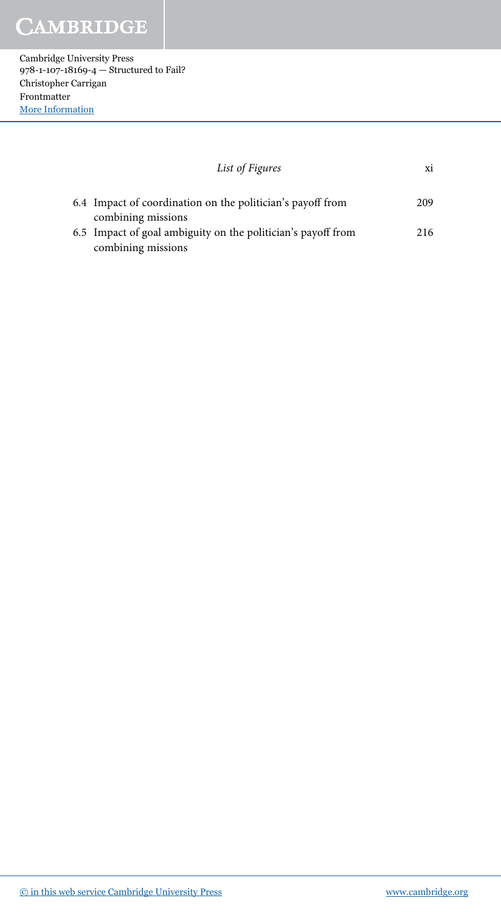Cambridge University Press 978-1-107-18169-4 — Structured to Fail? Christopher Carrigan Frontmatter [More Information](www.cambridge.org/9781107181694)

| List of Figures                                                                    | xi  |
|------------------------------------------------------------------------------------|-----|
| 6.4 Impact of coordination on the politician's payoff from                         | 209 |
| combining missions<br>6.5 Impact of goal ambiguity on the politician's payoff from | 216 |
| combining missions                                                                 |     |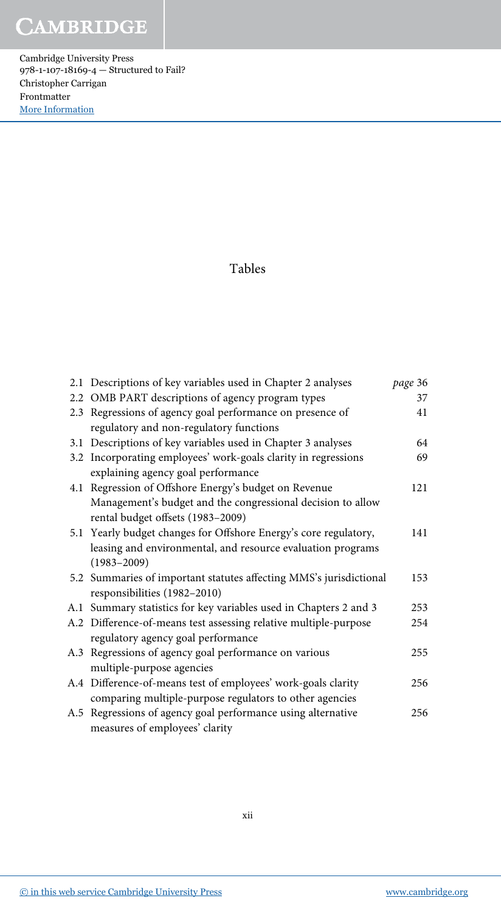Cambridge University Press 978-1-107-18169-4 — Structured to Fail? Christopher Carrigan Frontmatter [More Information](www.cambridge.org/9781107181694)

#### Tables

| 2.1 Descriptions of key variables used in Chapter 2 analyses       | page 36 |
|--------------------------------------------------------------------|---------|
| 2.2 OMB PART descriptions of agency program types                  | 37      |
| 2.3 Regressions of agency goal performance on presence of          | 41      |
| regulatory and non-regulatory functions                            |         |
| 3.1 Descriptions of key variables used in Chapter 3 analyses       | 64      |
| 3.2 Incorporating employees' work-goals clarity in regressions     | 69      |
| explaining agency goal performance                                 |         |
| 4.1 Regression of Offshore Energy's budget on Revenue              | 121     |
| Management's budget and the congressional decision to allow        |         |
| rental budget offsets (1983-2009)                                  |         |
| 5.1 Yearly budget changes for Offshore Energy's core regulatory,   | 141     |
| leasing and environmental, and resource evaluation programs        |         |
| $(1983 - 2009)$                                                    |         |
| 5.2 Summaries of important statutes affecting MMS's jurisdictional | 153     |
| responsibilities (1982-2010)                                       |         |
| A.1 Summary statistics for key variables used in Chapters 2 and 3  | 253     |
| A.2 Difference-of-means test assessing relative multiple-purpose   | 254     |
| regulatory agency goal performance                                 |         |
| A.3 Regressions of agency goal performance on various              | 255     |
| multiple-purpose agencies                                          |         |
| A.4 Difference-of-means test of employees' work-goals clarity      | 256     |
| comparing multiple-purpose regulators to other agencies            |         |
| A.5 Regressions of agency goal performance using alternative       | 256     |
| measures of employees' clarity                                     |         |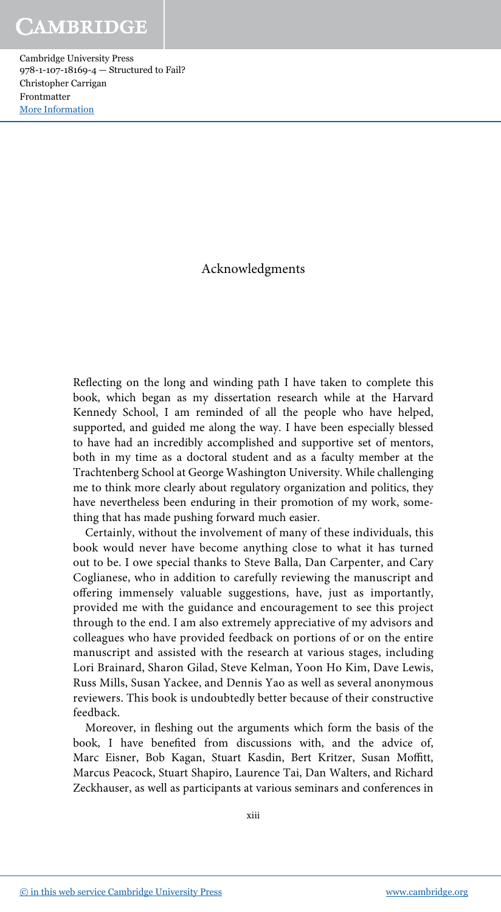Acknowledgments

Reflecting on the long and winding path I have taken to complete this book, which began as my dissertation research while at the Harvard Kennedy School, I am reminded of all the people who have helped, supported, and guided me along the way. I have been especially blessed to have had an incredibly accomplished and supportive set of mentors, both in my time as a doctoral student and as a faculty member at the Trachtenberg School at George Washington University. While challenging me to think more clearly about regulatory organization and politics, they have nevertheless been enduring in their promotion of my work, something that has made pushing forward much easier.

Certainly, without the involvement of many of these individuals, this book would never have become anything close to what it has turned out to be. I owe special thanks to Steve Balla, Dan Carpenter, and Cary Coglianese, who in addition to carefully reviewing the manuscript and offering immensely valuable suggestions, have, just as importantly, provided me with the guidance and encouragement to see this project through to the end. I am also extremely appreciative of my advisors and colleagues who have provided feedback on portions of or on the entire manuscript and assisted with the research at various stages, including Lori Brainard, Sharon Gilad, Steve Kelman, Yoon Ho Kim, Dave Lewis, Russ Mills, Susan Yackee, and Dennis Yao as well as several anonymous reviewers. This book is undoubtedly better because of their constructive feedback.

Moreover, in fleshing out the arguments which form the basis of the book, I have benefited from discussions with, and the advice of, Marc Eisner, Bob Kagan, Stuart Kasdin, Bert Kritzer, Susan Moffitt, Marcus Peacock, Stuart Shapiro, Laurence Tai, Dan Walters, and Richard Zeckhauser, as well as participants at various seminars and conferences in

xiii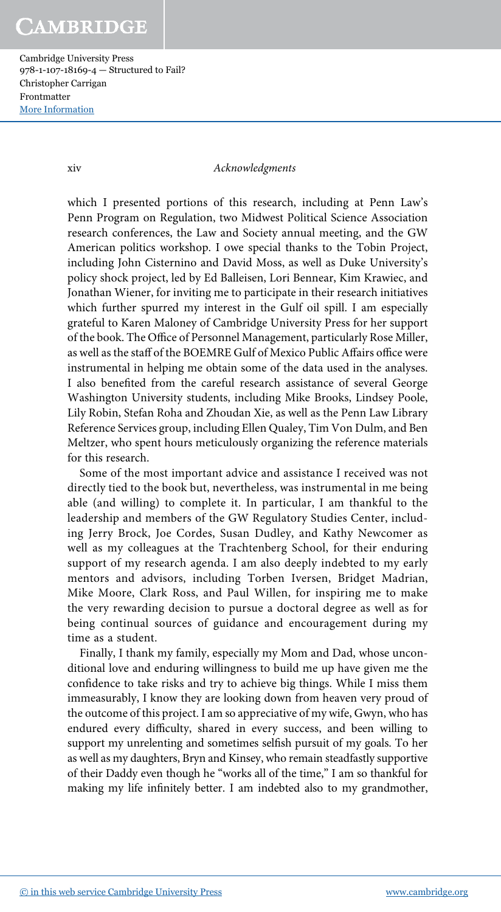Cambridge University Press 978-1-107-18169-4 — Structured to Fail? Christopher Carrigan Frontmatter [More Information](www.cambridge.org/9781107181694)

#### xiv *Acknowledgments*

which I presented portions of this research, including at Penn Law's Penn Program on Regulation, two Midwest Political Science Association research conferences, the Law and Society annual meeting, and the GW American politics workshop. I owe special thanks to the Tobin Project, including John Cisternino and David Moss, as well as Duke University's policy shock project, led by Ed Balleisen, Lori Bennear, Kim Krawiec, and Jonathan Wiener, for inviting me to participate in their research initiatives which further spurred my interest in the Gulf oil spill. I am especially grateful to Karen Maloney of Cambridge University Press for her support of the book. The Office of Personnel Management, particularly Rose Miller, as well as the staff of the BOEMRE Gulf of Mexico Public Affairs office were instrumental in helping me obtain some of the data used in the analyses. I also benefited from the careful research assistance of several George Washington University students, including Mike Brooks, Lindsey Poole, Lily Robin, Stefan Roha and Zhoudan Xie, as well as the Penn Law Library Reference Services group, including Ellen Qualey, Tim Von Dulm, and Ben Meltzer, who spent hours meticulously organizing the reference materials for this research.

Some of the most important advice and assistance I received was not directly tied to the book but, nevertheless, was instrumental in me being able (and willing) to complete it. In particular, I am thankful to the leadership and members of the GW Regulatory Studies Center, including Jerry Brock, Joe Cordes, Susan Dudley, and Kathy Newcomer as well as my colleagues at the Trachtenberg School, for their enduring support of my research agenda. I am also deeply indebted to my early mentors and advisors, including Torben Iversen, Bridget Madrian, Mike Moore, Clark Ross, and Paul Willen, for inspiring me to make the very rewarding decision to pursue a doctoral degree as well as for being continual sources of guidance and encouragement during my time as a student.

Finally, I thank my family, especially my Mom and Dad, whose unconditional love and enduring willingness to build me up have given me the confidence to take risks and try to achieve big things. While I miss them immeasurably, I know they are looking down from heaven very proud of the outcome of this project. I am so appreciative of my wife, Gwyn, who has endured every difficulty, shared in every success, and been willing to support my unrelenting and sometimes selfish pursuit of my goals. To her as well as my daughters, Bryn and Kinsey, who remain steadfastly supportive of their Daddy even though he "works all of the time," I am so thankful for making my life infinitely better. I am indebted also to my grandmother,